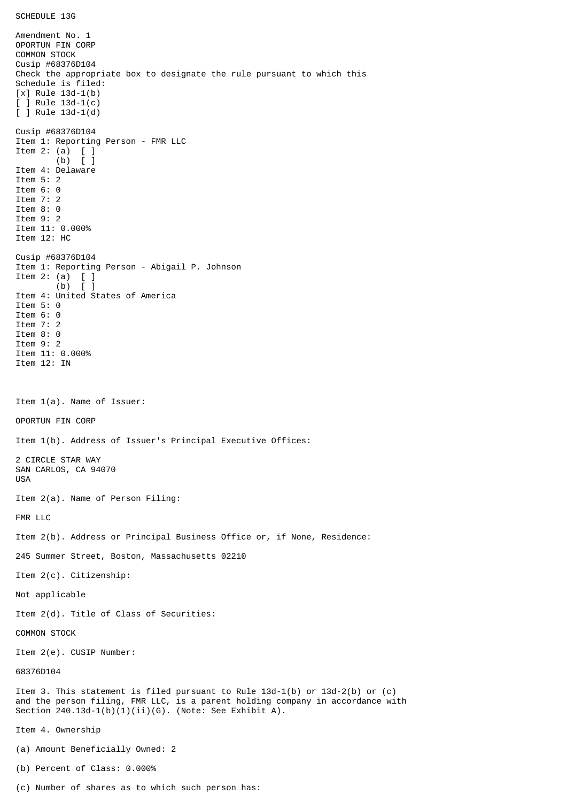Amendment No. 1 OPORTUN FIN CORP COMMON STOCK Cusip #68376D104 Check the appropriate box to designate the rule pursuant to which this Schedule is filed: [x] Rule 13d-1(b) [ ] Rule 13d-1(c) [ ] Rule 13d-1(d) Cusip #68376D104 Item 1: Reporting Person - FMR LLC Item 2: (a) [ ] (b) [ ] Item 4: Delaware Item 5: 2 Item 6: 0 Item 7: 2 Item 8: 0 Item 9: 2 Item 11: 0.000% Item 12: HC Cusip #68376D104 Item 1: Reporting Person - Abigail P. Johnson Item 2: (a)  $\begin{bmatrix} 1 \\ 0 \end{bmatrix}$  $(b)$ Item 4: United States of America Item 5: 0 Item 6: 0 Item 7: 2 Item 8: 0 Item 9: 2 Item 11: 0.000% Item 12: IN Item 1(a). Name of Issuer: OPORTUN FIN CORP Item 1(b). Address of Issuer's Principal Executive Offices: 2 CIRCLE STAR WAY SAN CARLOS, CA 94070 USA Item 2(a). Name of Person Filing: FMR LLC Item 2(b). Address or Principal Business Office or, if None, Residence: 245 Summer Street, Boston, Massachusetts 02210 Item 2(c). Citizenship: Not applicable Item 2(d). Title of Class of Securities: COMMON STOCK Item 2(e). CUSIP Number: 68376D104 Item 3. This statement is filed pursuant to Rule 13d-1(b) or 13d-2(b) or (c) and the person filing, FMR LLC, is a parent holding company in accordance with Section  $240.13d-1(b)(1)(ii)(G)$ . (Note: See Exhibit A). Item 4. Ownership (a) Amount Beneficially Owned: 2 (b) Percent of Class: 0.000%

(c) Number of shares as to which such person has: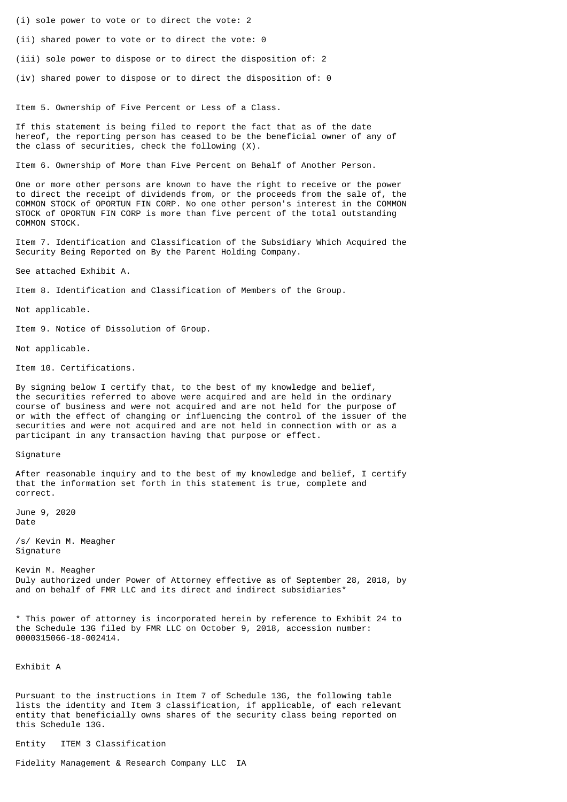- (i) sole power to vote or to direct the vote: 2
- (ii) shared power to vote or to direct the vote: 0
- (iii) sole power to dispose or to direct the disposition of: 2
- (iv) shared power to dispose or to direct the disposition of: 0

Item 5. Ownership of Five Percent or Less of a Class.

If this statement is being filed to report the fact that as of the date hereof, the reporting person has ceased to be the beneficial owner of any of the class of securities, check the following (X).

Item 6. Ownership of More than Five Percent on Behalf of Another Person.

One or more other persons are known to have the right to receive or the power to direct the receipt of dividends from, or the proceeds from the sale of, the COMMON STOCK of OPORTUN FIN CORP. No one other person's interest in the COMMON STOCK of OPORTUN FIN CORP is more than five percent of the total outstanding COMMON STOCK.

Item 7. Identification and Classification of the Subsidiary Which Acquired the Security Being Reported on By the Parent Holding Company.

See attached Exhibit A.

Item 8. Identification and Classification of Members of the Group.

Not applicable.

Item 9. Notice of Dissolution of Group.

Not applicable.

Item 10. Certifications.

By signing below I certify that, to the best of my knowledge and belief, the securities referred to above were acquired and are held in the ordinary course of business and were not acquired and are not held for the purpose of or with the effect of changing or influencing the control of the issuer of the securities and were not acquired and are not held in connection with or as a participant in any transaction having that purpose or effect.

## Signature

After reasonable inquiry and to the best of my knowledge and belief, I certify that the information set forth in this statement is true, complete and correct.

June 9, 2020 Date

/s/ Kevin M. Meagher Signature

Kevin M. Meagher Duly authorized under Power of Attorney effective as of September 28, 2018, by and on behalf of FMR LLC and its direct and indirect subsidiaries\*

\* This power of attorney is incorporated herein by reference to Exhibit 24 to the Schedule 13G filed by FMR LLC on October 9, 2018, accession number: 0000315066-18-002414.

Exhibit A

Pursuant to the instructions in Item 7 of Schedule 13G, the following table lists the identity and Item 3 classification, if applicable, of each relevant entity that beneficially owns shares of the security class being reported on this Schedule 13G.

Entity ITEM 3 Classification

Fidelity Management & Research Company LLC IA